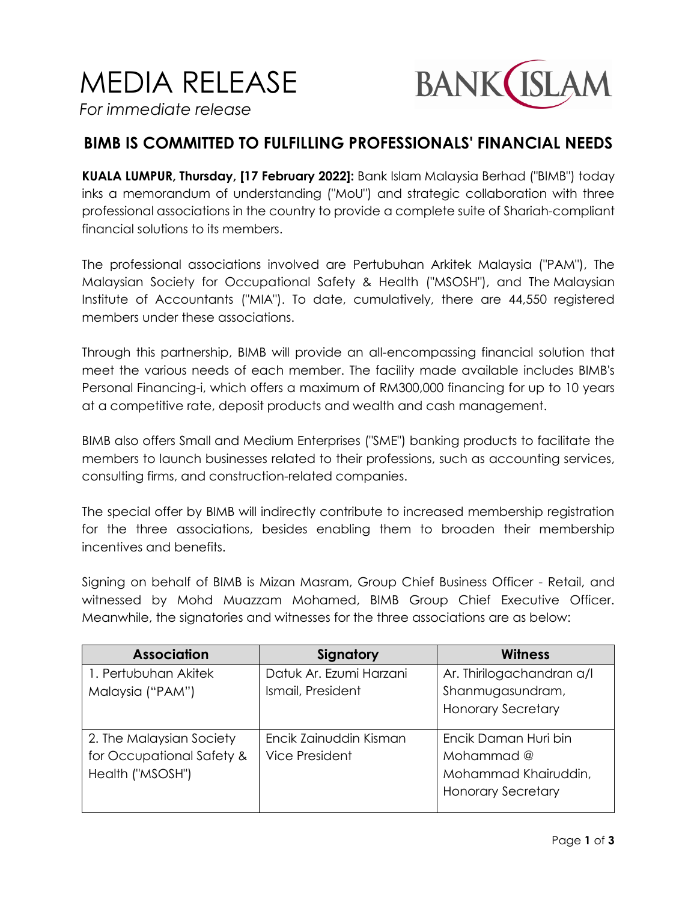MEDIA RELEASE



*For immediate release*

## **BIMB IS COMMITTED TO FULFILLING PROFESSIONALS' FINANCIAL NEEDS**

**KUALA LUMPUR, Thursday, [17 February 2022]:** Bank Islam Malaysia Berhad ("BIMB") today inks a memorandum of understanding ("MoU") and strategic collaboration with three professional associations in the country to provide a complete suite of Shariah-compliant financial solutions to its members.

The professional associations involved are Pertubuhan Arkitek Malaysia ("PAM"), The Malaysian Society for Occupational Safety & Health ("MSOSH"), and The Malaysian Institute of Accountants ("MIA"). To date, cumulatively, there are 44,550 registered members under these associations.

Through this partnership, BIMB will provide an all-encompassing financial solution that meet the various needs of each member. The facility made available includes BIMB's Personal Financing-i, which offers a maximum of RM300,000 financing for up to 10 years at a competitive rate, deposit products and wealth and cash management.

BIMB also offers Small and Medium Enterprises ("SME") banking products to facilitate the members to launch businesses related to their professions, such as accounting services, consulting firms, and construction-related companies.

The special offer by BIMB will indirectly contribute to increased membership registration for the three associations, besides enabling them to broaden their membership incentives and benefits.

Signing on behalf of BIMB is Mizan Masram, Group Chief Business Officer - Retail, and witnessed by Mohd Muazzam Mohamed, BIMB Group Chief Executive Officer. Meanwhile, the signatories and witnesses for the three associations are as below:

| Signatory               | <b>Witness</b>            |
|-------------------------|---------------------------|
| Datuk Ar. Ezumi Harzani | Ar. Thirilogachandran a/l |
| Ismail, President       | Shanmugasundram,          |
|                         | <b>Honorary Secretary</b> |
|                         |                           |
| Encik Zainuddin Kisman  | Encik Daman Huri bin      |
| <b>Vice President</b>   | Mohammad @                |
|                         | Mohammad Khairuddin,      |
|                         | <b>Honorary Secretary</b> |
|                         |                           |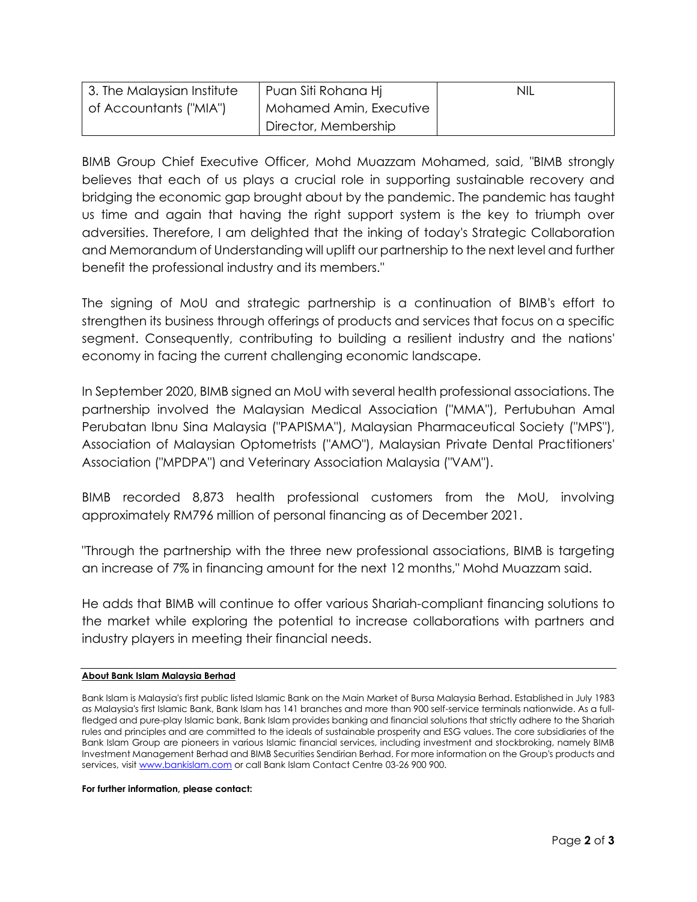| 3. The Malaysian Institute | Puan Siti Rohana Hi     | nil |
|----------------------------|-------------------------|-----|
| of Accountants ("MIA")     | Mohamed Amin, Executive |     |
|                            | Director, Membership    |     |

BIMB Group Chief Executive Officer, Mohd Muazzam Mohamed, said, "BIMB strongly believes that each of us plays a crucial role in supporting sustainable recovery and bridging the economic gap brought about by the pandemic. The pandemic has taught us time and again that having the right support system is the key to triumph over adversities. Therefore, I am delighted that the inking of today's Strategic Collaboration and Memorandum of Understanding will uplift our partnership to the next level and further benefit the professional industry and its members."

The signing of MoU and strategic partnership is a continuation of BIMB's effort to strengthen its business through offerings of products and services that focus on a specific segment. Consequently, contributing to building a resilient industry and the nations' economy in facing the current challenging economic landscape.

In September 2020, BIMB signed an MoU with several health professional associations. The partnership involved the Malaysian Medical Association ("MMA"), Pertubuhan Amal Perubatan Ibnu Sina Malaysia ("PAPISMA"), Malaysian Pharmaceutical Society ("MPS"), Association of Malaysian Optometrists ("AMO"), Malaysian Private Dental Practitioners' Association ("MPDPA") and Veterinary Association Malaysia ("VAM").

BIMB recorded 8,873 health professional customers from the MoU, involving approximately RM796 million of personal financing as of December 2021.

"Through the partnership with the three new professional associations, BIMB is targeting an increase of 7% in financing amount for the next 12 months," Mohd Muazzam said.

He adds that BIMB will continue to offer various Shariah-compliant financing solutions to the market while exploring the potential to increase collaborations with partners and industry players in meeting their financial needs.

## **About Bank Islam Malaysia Berhad**

## **For further information, please contact:**

Bank Islam is Malaysia's first public listed Islamic Bank on the Main Market of Bursa Malaysia Berhad. Established in July 1983 as Malaysia's first Islamic Bank, Bank Islam has 141 branches and more than 900 self-service terminals nationwide. As a fullfledged and pure-play Islamic bank, Bank Islam provides banking and financial solutions that strictly adhere to the Shariah rules and principles and are committed to the ideals of sustainable prosperity and ESG values. The core subsidiaries of the Bank Islam Group are pioneers in various Islamic financial services, including investment and stockbroking, namely BIMB Investment Management Berhad and BIMB Securities Sendirian Berhad. For more information on the Group's products and services, visi[t www.bankislam.com](http://www.bankislam.com/) or call Bank Islam Contact Centre 03-26 900 900.